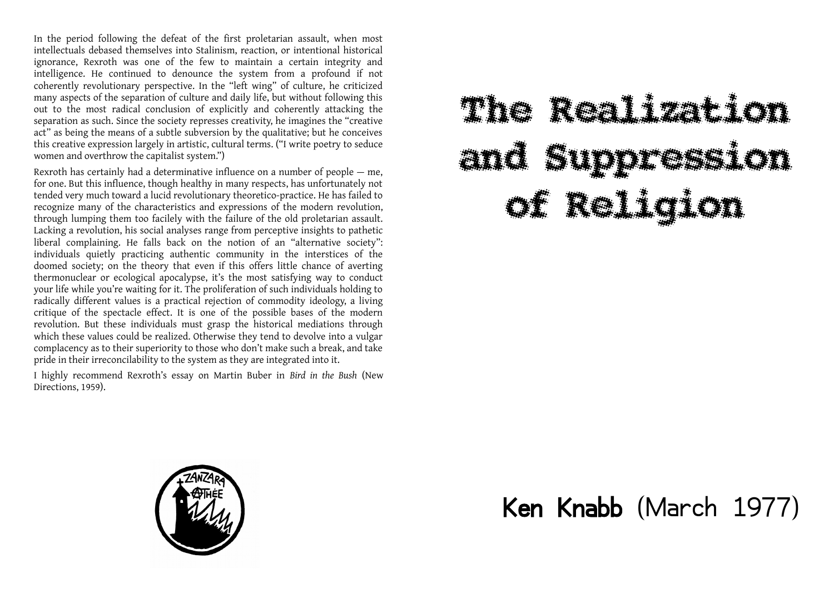In the period following the defeat of the first proletarian assault, when most intellectuals debased themselves into Stalinism, reaction, or intentional historical ignorance, Rexroth was one of the few to maintain a certain integrity and intelligence. He continued to denounce the system from a profound if not coherently revolutionary perspective. In the "left wing" of culture, he criticized many aspects of the separation of culture and daily life, but without following this out to the most radical conclusion of explicitly and coherently attacking the separation as such. Since the society represses creativity, he imagines the "creative act" as being the means of a subtle subversion by the qualitative; but he conceives this creative expression largely in artistic, cultural terms. ("I write poetry to seduce women and overthrow the capitalist system.")

Rexroth has certainly had a determinative influence on a number of people — me, for one. But this influence, though healthy in many respects, has unfortunately not tended very much toward a lucid revolutionary theoretico-practice. He has failed to recognize many of the characteristics and expressions of the modern revolution, through lumping them too facilely with the failure of the old proletarian assault. Lacking a revolution, his social analyses range from perceptive insights to pathetic liberal complaining. He falls back on the notion of an "alternative society": individuals quietly practicing authentic community in the interstices of the doomed society; on the theory that even if this offers little chance of averting thermonuclear or ecological apocalypse, it's the most satisfying way to conduct your life while you're waiting for it. The proliferation of such individuals holding to radically different values is a practical rejection of commodity ideology, a living critique of the spectacle effect. It is one of the possible bases of the modern revolution. But these individuals must grasp the historical mediations through which these values could be realized. Otherwise they tend to devolve into a vulgar complacency as to their superiority to those who don't make such a break, and take pride in their irreconcilability to the system as they are integrated into it.

I highly recommend Rexroth's essay on Martin Buber in *Bird in the Bush* (New Directions, 1959).

## The Realization of the Realization of the Realization of the Realization of the Realization and Support Control of the Support of the Support of the Support of the Support of the Support of the Support of the Support of the Support of the Support of the Support of the Support of the Support of the Support of the of Religion



## Ken Knabb (March 1977)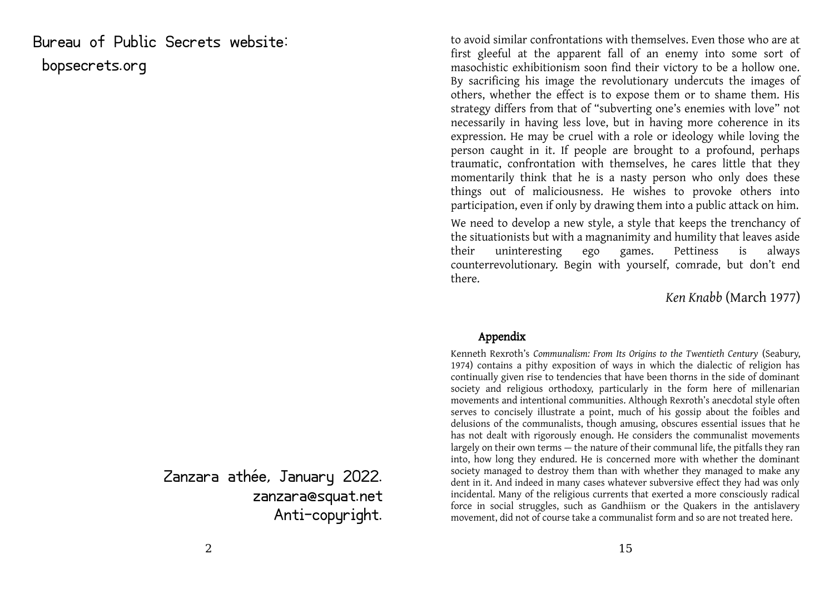Bureau of Public Secrets website: bopsecrets.org

> Zanzara athée, January 2022. zanzara@squat.net Anti-copyright.

to avoid similar confrontations with themselves. Even those who are at first gleeful at the apparent fall of an enemy into some sort of masochistic exhibitionism soon find their victory to be a hollow one. By sacrificing his image the revolutionary undercuts the images of others, whether the effect is to expose them or to shame them. His strategy differs from that of "subverting one's enemies with love" not necessarily in having less love, but in having more coherence in its expression. He may be cruel with a role or ideology while loving the person caught in it. If people are brought to a profound, perhaps traumatic, confrontation with themselves, he cares little that they momentarily think that he is a nasty person who only does these things out of maliciousness. He wishes to provoke others into participation, even if only by drawing them into a public attack on him.

We need to develop a new style, a style that keeps the trenchancy of the situationists but with a magnanimity and humility that leaves aside their uninteresting ego games. Pettiness is always counterrevolutionary. Begin with yourself, comrade, but don't end there.

*Ken Knabb* (March 1977)

## Appendix

Kenneth Rexroth's *Communalism: From Its Origins to the Twentieth Century* (Seabury, 1974) contains a pithy exposition of ways in which the dialectic of religion has continually given rise to tendencies that have been thorns in the side of dominant society and religious orthodoxy, particularly in the form here of millenarian movements and intentional communities. Although Rexroth's anecdotal style often serves to concisely illustrate a point, much of his gossip about the foibles and delusions of the communalists, though amusing, obscures essential issues that he has not dealt with rigorously enough. He considers the communalist movements largely on their own terms — the nature of their communal life, the pitfalls they ran into, how long they endured. He is concerned more with whether the dominant society managed to destroy them than with whether they managed to make any dent in it. And indeed in many cases whatever subversive effect they had was only incidental. Many of the religious currents that exerted a more consciously radical force in social struggles, such as Gandhiism or the Quakers in the antislavery movement, did not of course take a communalist form and so are not treated here.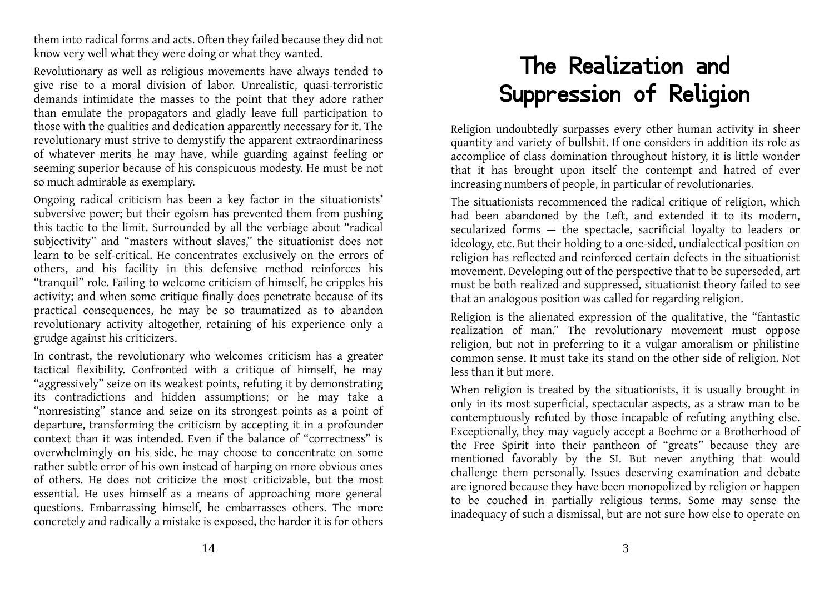them into radical forms and acts. Often they failed because they did not know very well what they were doing or what they wanted.

Revolutionary as well as religious movements have always tended to give rise to a moral division of labor. Unrealistic, quasi-terroristic demands intimidate the masses to the point that they adore rather than emulate the propagators and gladly leave full participation to those with the qualities and dedication apparently necessary for it. The revolutionary must strive to demystify the apparent extraordinariness of whatever merits he may have, while guarding against feeling or seeming superior because of his conspicuous modesty. He must be not so much admirable as exemplary.

Ongoing radical criticism has been a key factor in the situationists' subversive power; but their egoism has prevented them from pushing this tactic to the limit. Surrounded by all the verbiage about "radical subjectivity" and "masters without slaves," the situationist does not learn to be self-critical. He concentrates exclusively on the errors of others, and his facility in this defensive method reinforces his "tranquil" role. Failing to welcome criticism of himself, he cripples his activity; and when some critique finally does penetrate because of its practical consequences, he may be so traumatized as to abandon revolutionary activity altogether, retaining of his experience only a grudge against his criticizers.

In contrast, the revolutionary who welcomes criticism has a greater tactical flexibility. Confronted with a critique of himself, he may "aggressively" seize on its weakest points, refuting it by demonstrating its contradictions and hidden assumptions; or he may take a "nonresisting" stance and seize on its strongest points as a point of departure, transforming the criticism by accepting it in a profounder context than it was intended. Even if the balance of "correctness" is overwhelmingly on his side, he may choose to concentrate on some rather subtle error of his own instead of harping on more obvious ones of others. He does not criticize the most criticizable, but the most essential. He uses himself as a means of approaching more general questions. Embarrassing himself, he embarrasses others. The more concretely and radically a mistake is exposed, the harder it is for others

## The Realization and Suppression of Religion

Religion undoubtedly surpasses every other human activity in sheer quantity and variety of bullshit. If one considers in addition its role as accomplice of class domination throughout history, it is little wonder that it has brought upon itself the contempt and hatred of ever increasing numbers of people, in particular of revolutionaries.

The situationists recommenced the radical critique of religion, which had been abandoned by the Left, and extended it to its modern, secularized forms — the spectacle, sacrificial loyalty to leaders or ideology, etc. But their holding to a one-sided, undialectical position on religion has reflected and reinforced certain defects in the situationist movement. Developing out of the perspective that to be superseded, art must be both realized and suppressed, situationist theory failed to see that an analogous position was called for regarding religion.

Religion is the alienated expression of the qualitative, the "fantastic realization of man." The revolutionary movement must oppose religion, but not in preferring to it a vulgar amoralism or philistine common sense. It must take its stand on the other side of religion. Not less than it but more.

When religion is treated by the situationists, it is usually brought in only in its most superficial, spectacular aspects, as a straw man to be contemptuously refuted by those incapable of refuting anything else. Exceptionally, they may vaguely accept a Boehme or a Brotherhood of the Free Spirit into their pantheon of "greats" because they are mentioned favorably by the SI. But never anything that would challenge them personally. Issues deserving examination and debate are ignored because they have been monopolized by religion or happen to be couched in partially religious terms. Some may sense the inadequacy of such a dismissal, but are not sure how else to operate on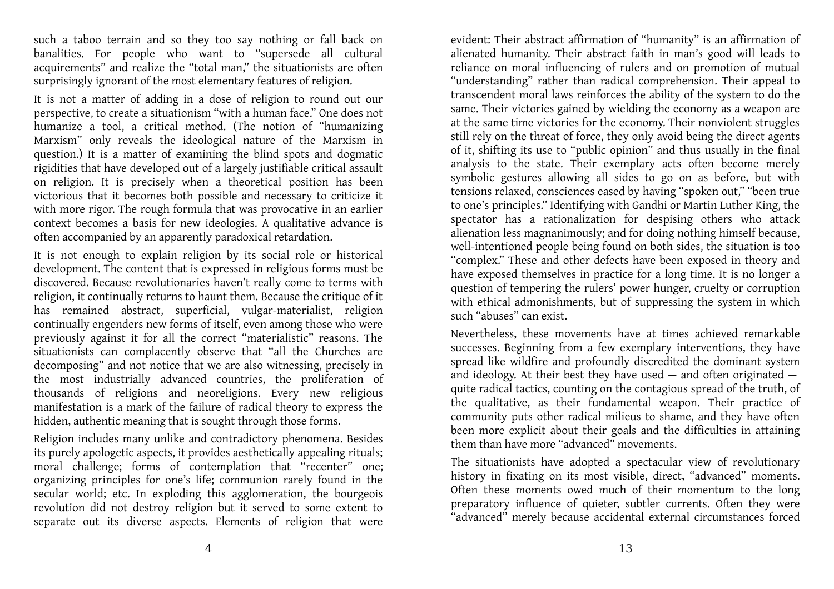such a taboo terrain and so they too say nothing or fall back on banalities. For people who want to "supersede all cultural acquirements" and realize the "total man," the situationists are often surprisingly ignorant of the most elementary features of religion.

It is not a matter of adding in a dose of religion to round out our perspective, to create a situationism "with a human face." One does not humanize a tool, a critical method. (The notion of "humanizing Marxism" only reveals the ideological nature of the Marxism in question.) It is a matter of examining the blind spots and dogmatic rigidities that have developed out of a largely justifiable critical assault on religion. It is precisely when a theoretical position has been victorious that it becomes both possible and necessary to criticize it with more rigor. The rough formula that was provocative in an earlier context becomes a basis for new ideologies. A qualitative advance is often accompanied by an apparently paradoxical retardation.

It is not enough to explain religion by its social role or historical development. The content that is expressed in religious forms must be discovered. Because revolutionaries haven't really come to terms with religion, it continually returns to haunt them. Because the critique of it has remained abstract, superficial, vulgar-materialist, religion continually engenders new forms of itself, even among those who were previously against it for all the correct "materialistic" reasons. The situationists can complacently observe that "all the Churches are decomposing" and not notice that we are also witnessing, precisely in the most industrially advanced countries, the proliferation of thousands of religions and neoreligions. Every new religious manifestation is a mark of the failure of radical theory to express the hidden, authentic meaning that is sought through those forms.

Religion includes many unlike and contradictory phenomena. Besides its purely apologetic aspects, it provides aesthetically appealing rituals; moral challenge; forms of contemplation that "recenter" one; organizing principles for one's life; communion rarely found in the secular world; etc. In exploding this agglomeration, the bourgeois revolution did not destroy religion but it served to some extent to separate out its diverse aspects. Elements of religion that were

evident: Their abstract affirmation of "humanity" is an affirmation of alienated humanity. Their abstract faith in man's good will leads to reliance on moral influencing of rulers and on promotion of mutual "understanding" rather than radical comprehension. Their appeal to transcendent moral laws reinforces the ability of the system to do the same. Their victories gained by wielding the economy as a weapon are at the same time victories for the economy. Their nonviolent struggles still rely on the threat of force, they only avoid being the direct agents of it, shifting its use to "public opinion" and thus usually in the final analysis to the state. Their exemplary acts often become merely symbolic gestures allowing all sides to go on as before, but with tensions relaxed, consciences eased by having "spoken out," "been true to one's principles." Identifying with Gandhi or Martin Luther King, the spectator has a rationalization for despising others who attack alienation less magnanimously; and for doing nothing himself because, well-intentioned people being found on both sides, the situation is too "complex." These and other defects have been exposed in theory and have exposed themselves in practice for a long time. It is no longer a question of tempering the rulers' power hunger, cruelty or corruption with ethical admonishments, but of suppressing the system in which such "abuses" can exist.

Nevertheless, these movements have at times achieved remarkable successes. Beginning from a few exemplary interventions, they have spread like wildfire and profoundly discredited the dominant system and ideology. At their best they have used — and often originated quite radical tactics, counting on the contagious spread of the truth, of the qualitative, as their fundamental weapon. Their practice of community puts other radical milieus to shame, and they have often been more explicit about their goals and the difficulties in attaining them than have more "advanced" movements.

The situationists have adopted a spectacular view of revolutionary history in fixating on its most visible, direct, "advanced" moments. Often these moments owed much of their momentum to the long preparatory influence of quieter, subtler currents. Often they were "advanced" merely because accidental external circumstances forced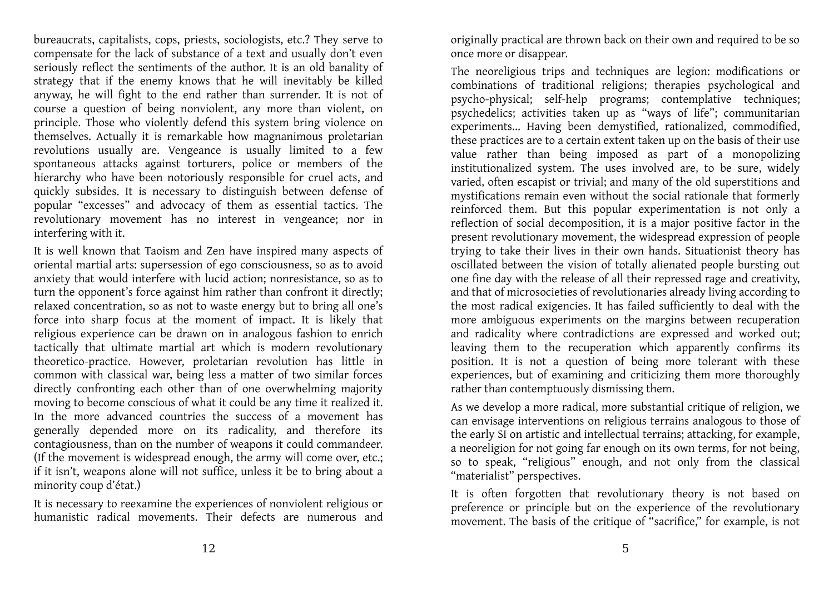bureaucrats, capitalists, cops, priests, sociologists, etc.? They serve to compensate for the lack of substance of a text and usually don't even seriously reflect the sentiments of the author. It is an old banality of strategy that if the enemy knows that he will inevitably be killed anyway, he will fight to the end rather than surrender. It is not of course a question of being nonviolent, any more than violent, on principle. Those who violently defend this system bring violence on themselves. Actually it is remarkable how magnanimous proletarian revolutions usually are. Vengeance is usually limited to a few spontaneous attacks against torturers, police or members of the hierarchy who have been notoriously responsible for cruel acts, and quickly subsides. It is necessary to distinguish between defense of popular "excesses" and advocacy of them as essential tactics. The revolutionary movement has no interest in vengeance; nor in interfering with it.

It is well known that Taoism and Zen have inspired many aspects of oriental martial arts: supersession of ego consciousness, so as to avoid anxiety that would interfere with lucid action; nonresistance, so as to turn the opponent's force against him rather than confront it directly; relaxed concentration, so as not to waste energy but to bring all one's force into sharp focus at the moment of impact. It is likely that religious experience can be drawn on in analogous fashion to enrich tactically that ultimate martial art which is modern revolutionary theoretico-practice. However, proletarian revolution has little in common with classical war, being less a matter of two similar forces directly confronting each other than of one overwhelming majority moving to become conscious of what it could be any time it realized it. In the more advanced countries the success of a movement has generally depended more on its radicality, and therefore its contagiousness, than on the number of weapons it could commandeer. (If the movement is widespread enough, the army will come over, etc.; if it isn't, weapons alone will not suffice, unless it be to bring about a minority coup d'état.)

It is necessary to reexamine the experiences of nonviolent religious or humanistic radical movements. Their defects are numerous and originally practical are thrown back on their own and required to be so once more or disappear.

The neoreligious trips and techniques are legion: modifications or combinations of traditional religions; therapies psychological and psycho-physical; self-help programs; contemplative techniques; psychedelics; activities taken up as "ways of life"; communitarian experiments... Having been demystified, rationalized, commodified, these practices are to a certain extent taken up on the basis of their use value rather than being imposed as part of a monopolizing institutionalized system. The uses involved are, to be sure, widely varied, often escapist or trivial; and many of the old superstitions and mystifications remain even without the social rationale that formerly reinforced them. But this popular experimentation is not only a reflection of social decomposition, it is a major positive factor in the present revolutionary movement, the widespread expression of people trying to take their lives in their own hands. Situationist theory has oscillated between the vision of totally alienated people bursting out one fine day with the release of all their repressed rage and creativity, and that of microsocieties of revolutionaries already living according to the most radical exigencies. It has failed sufficiently to deal with the more ambiguous experiments on the margins between recuperation and radicality where contradictions are expressed and worked out; leaving them to the recuperation which apparently confirms its position. It is not a question of being more tolerant with these experiences, but of examining and criticizing them more thoroughly rather than contemptuously dismissing them.

As we develop a more radical, more substantial critique of religion, we can envisage interventions on religious terrains analogous to those of the early SI on artistic and intellectual terrains; attacking, for example, a neoreligion for not going far enough on its own terms, for not being, so to speak, "religious" enough, and not only from the classical "materialist" perspectives.

It is often forgotten that revolutionary theory is not based on preference or principle but on the experience of the revolutionary movement. The basis of the critique of "sacrifice," for example, is not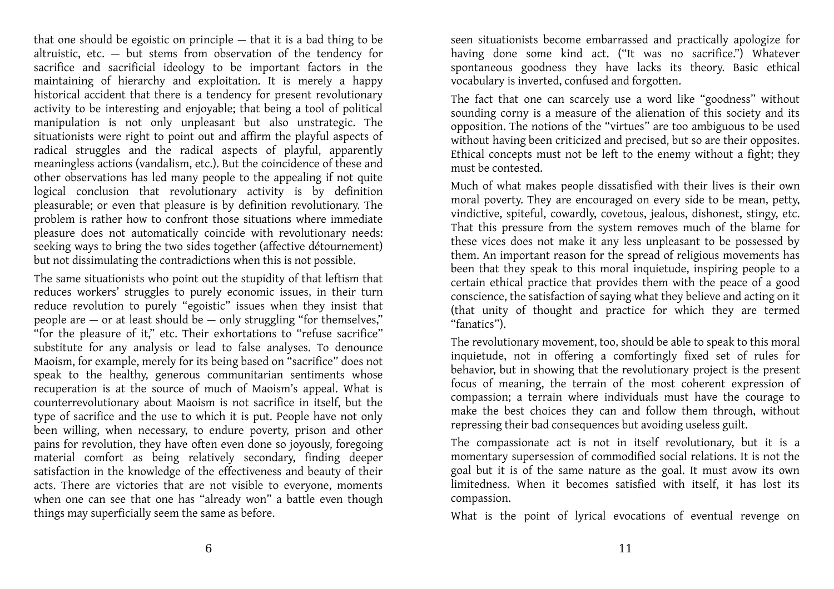that one should be egoistic on principle — that it is a bad thing to be altruistic, etc. — but stems from observation of the tendency for sacrifice and sacrificial ideology to be important factors in the maintaining of hierarchy and exploitation. It is merely a happy historical accident that there is a tendency for present revolutionary activity to be interesting and enjoyable; that being a tool of political manipulation is not only unpleasant but also unstrategic. The situationists were right to point out and affirm the playful aspects of radical struggles and the radical aspects of playful, apparently meaningless actions (vandalism, etc.). But the coincidence of these and other observations has led many people to the appealing if not quite logical conclusion that revolutionary activity is by definition pleasurable; or even that pleasure is by definition revolutionary. The problem is rather how to confront those situations where immediate pleasure does not automatically coincide with revolutionary needs: seeking ways to bring the two sides together (affective détournement) but not dissimulating the contradictions when this is not possible.

The same situationists who point out the stupidity of that leftism that reduces workers' struggles to purely economic issues, in their turn reduce revolution to purely "egoistic" issues when they insist that people are — or at least should be — only struggling "for themselves," "for the pleasure of it," etc. Their exhortations to "refuse sacrifice" substitute for any analysis or lead to false analyses. To denounce Maoism, for example, merely for its being based on "sacrifice" does not speak to the healthy, generous communitarian sentiments whose recuperation is at the source of much of Maoism's appeal. What is counterrevolutionary about Maoism is not sacrifice in itself, but the type of sacrifice and the use to which it is put. People have not only been willing, when necessary, to endure poverty, prison and other pains for revolution, they have often even done so joyously, foregoing material comfort as being relatively secondary, finding deeper satisfaction in the knowledge of the effectiveness and beauty of their acts. There are victories that are not visible to everyone, moments when one can see that one has "already won" a battle even though things may superficially seem the same as before.

seen situationists become embarrassed and practically apologize for having done some kind act. ("It was no sacrifice.") Whatever spontaneous goodness they have lacks its theory. Basic ethical vocabulary is inverted, confused and forgotten.

The fact that one can scarcely use a word like "goodness" without sounding corny is a measure of the alienation of this society and its opposition. The notions of the "virtues" are too ambiguous to be used without having been criticized and precised, but so are their opposites. Ethical concepts must not be left to the enemy without a fight; they must be contested.

Much of what makes people dissatisfied with their lives is their own moral poverty. They are encouraged on every side to be mean, petty, vindictive, spiteful, cowardly, covetous, jealous, dishonest, stingy, etc. That this pressure from the system removes much of the blame for these vices does not make it any less unpleasant to be possessed by them. An important reason for the spread of religious movements has been that they speak to this moral inquietude, inspiring people to a certain ethical practice that provides them with the peace of a good conscience, the satisfaction of saying what they believe and acting on it (that unity of thought and practice for which they are termed "fanatics").

The revolutionary movement, too, should be able to speak to this moral inquietude, not in offering a comfortingly fixed set of rules for behavior, but in showing that the revolutionary project is the present focus of meaning, the terrain of the most coherent expression of compassion; a terrain where individuals must have the courage to make the best choices they can and follow them through, without repressing their bad consequences but avoiding useless guilt.

The compassionate act is not in itself revolutionary, but it is a momentary supersession of commodified social relations. It is not the goal but it is of the same nature as the goal. It must avow its own limitedness. When it becomes satisfied with itself, it has lost its compassion.

What is the point of lyrical evocations of eventual revenge on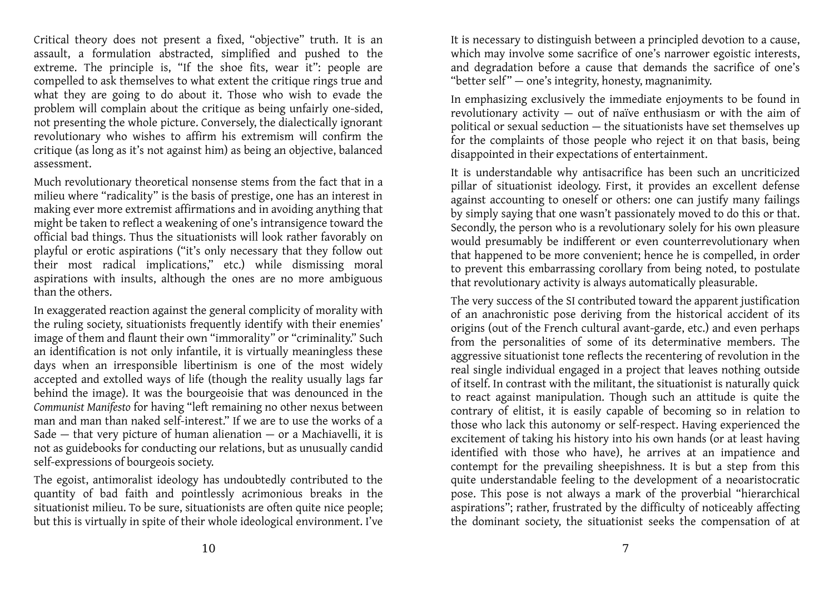Critical theory does not present a fixed, "objective" truth. It is an assault, a formulation abstracted, simplified and pushed to the extreme. The principle is, "If the shoe fits, wear it": people are compelled to ask themselves to what extent the critique rings true and what they are going to do about it. Those who wish to evade the problem will complain about the critique as being unfairly one-sided, not presenting the whole picture. Conversely, the dialectically ignorant revolutionary who wishes to affirm his extremism will confirm the critique (as long as it's not against him) as being an objective, balanced assessment.

Much revolutionary theoretical nonsense stems from the fact that in a milieu where "radicality" is the basis of prestige, one has an interest in making ever more extremist affirmations and in avoiding anything that might be taken to reflect a weakening of one's intransigence toward the official bad things. Thus the situationists will look rather favorably on playful or erotic aspirations ("it's only necessary that they follow out their most radical implications," etc.) while dismissing moral aspirations with insults, although the ones are no more ambiguous than the others.

In exaggerated reaction against the general complicity of morality with the ruling society, situationists frequently identify with their enemies' image of them and flaunt their own "immorality" or "criminality." Such an identification is not only infantile, it is virtually meaningless these days when an irresponsible libertinism is one of the most widely accepted and extolled ways of life (though the reality usually lags far behind the image). It was the bourgeoisie that was denounced in the *Communist Manifesto* for having "left remaining no other nexus between man and man than naked self-interest." If we are to use the works of a Sade  $-$  that very picture of human alienation  $-$  or a Machiavelli, it is not as guidebooks for conducting our relations, but as unusually candid self-expressions of bourgeois society.

The egoist, antimoralist ideology has undoubtedly contributed to the quantity of bad faith and pointlessly acrimonious breaks in the situationist milieu. To be sure, situationists are often quite nice people; but this is virtually in spite of their whole ideological environment. I've

It is necessary to distinguish between a principled devotion to a cause, which may involve some sacrifice of one's narrower egoistic interests, and degradation before a cause that demands the sacrifice of one's "better self" — one's integrity, honesty, magnanimity.

In emphasizing exclusively the immediate enjoyments to be found in revolutionary activity — out of naïve enthusiasm or with the aim of political or sexual seduction — the situationists have set themselves up for the complaints of those people who reject it on that basis, being disappointed in their expectations of entertainment.

It is understandable why antisacrifice has been such an uncriticized pillar of situationist ideology. First, it provides an excellent defense against accounting to oneself or others: one can justify many failings by simply saying that one wasn't passionately moved to do this or that. Secondly, the person who is a revolutionary solely for his own pleasure would presumably be indifferent or even counterrevolutionary when that happened to be more convenient; hence he is compelled, in order to prevent this embarrassing corollary from being noted, to postulate that revolutionary activity is always automatically pleasurable.

The very success of the SI contributed toward the apparent justification of an anachronistic pose deriving from the historical accident of its origins (out of the French cultural avant-garde, etc.) and even perhaps from the personalities of some of its determinative members. The aggressive situationist tone reflects the recentering of revolution in the real single individual engaged in a project that leaves nothing outside of itself. In contrast with the militant, the situationist is naturally quick to react against manipulation. Though such an attitude is quite the contrary of elitist, it is easily capable of becoming so in relation to those who lack this autonomy or self-respect. Having experienced the excitement of taking his history into his own hands (or at least having identified with those who have), he arrives at an impatience and contempt for the prevailing sheepishness. It is but a step from this quite understandable feeling to the development of a neoaristocratic pose. This pose is not always a mark of the proverbial "hierarchical aspirations"; rather, frustrated by the difficulty of noticeably affecting the dominant society, the situationist seeks the compensation of at